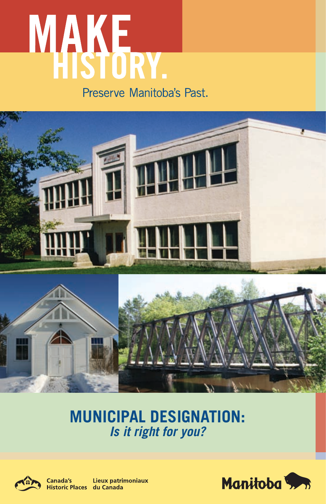# **MAKE**<br>HISTORY. Preserve Manitoba's Past.



# **MUNICIPAL DESIGNATION:** *Is it right for you?*



Canada's Lieux patrimoniaux Historic Places du Canada

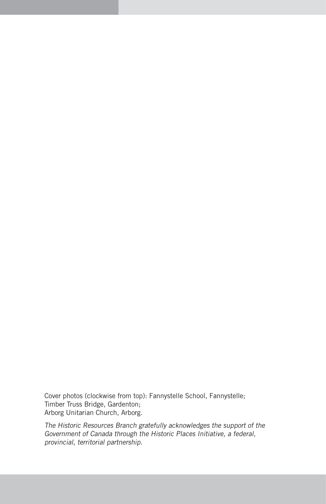Cover photos (clockwise from top): Fannystelle School, Fannystelle; Timber Truss Bridge, Gardenton; Arborg Unitarian Church, Arborg.

The Historic Resources Branch gratefully acknowledges the support of the Government of Canada through the Historic Places Initiative, a federal, provincial, territorial partnership.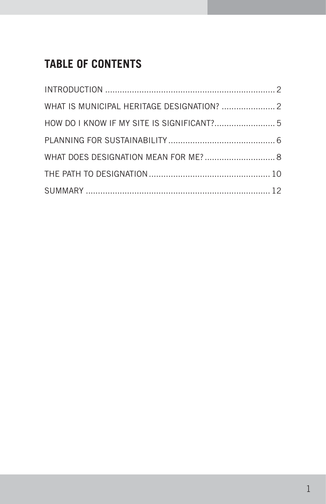# **TABLE OF CONTENTS**

| WHAT IS MUNICIPAL HERITAGE DESIGNATION?  2 |  |
|--------------------------------------------|--|
|                                            |  |
|                                            |  |
| WHAT DOES DESIGNATION MEAN FOR ME? 8       |  |
|                                            |  |
|                                            |  |
|                                            |  |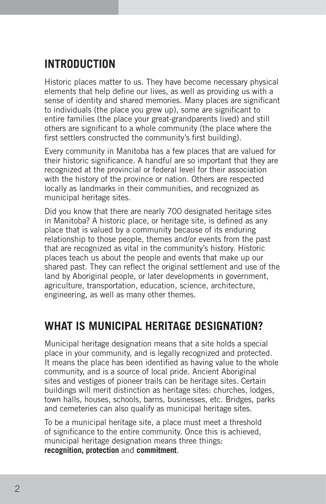# **INTRODUCTION**

Historic places matter to us. They have become necessary physical elements that help define our lives, as well as providing us with a sense of identity and shared memories. Many places are significant to individuals (the place you grew up), some are significant to entire families (the place your great-grandparents lived) and still others are significant to a whole community (the place where the first settlers constructed the community's first building).

Every community in Manitoba has a few places that are valued for their historic significance. A handful are so important that they are recognized at the provincial or federal level for their association with the history of the province or nation. Others are respected locally as landmarks in their communities, and recognized as municipal heritage sites.

Did you know that there are nearly 700 designated heritage sites in Manitoba? A historic place, or heritage site, is defined as any place that is valued by a community because of its enduring relationship to those people, themes and/or events from the past that are recognized as vital in the community's history. Historic places teach us about the people and events that make up our shared past. They can reflect the original settlement and use of the land by Aboriginal people, or later developments in government, agriculture, transportation, education, science, architecture, engineering, as well as many other themes.

# **What is municipal heritage designation?**

Municipal heritage designation means that a site holds a special place in your community, and is legally recognized and protected. It means the place has been identified as having value to the whole community, and is a source of local pride. Ancient Aboriginal sites and vestiges of pioneer trails can be heritage sites. Certain buildings will merit distinction as heritage sites: churches, lodges, town halls, houses, schools, barns, businesses, etc. Bridges, parks and cemeteries can also qualify as municipal heritage sites.

To be a municipal heritage site, a place must meet a threshold of significance to the entire community. Once this is achieved, municipal heritage designation means three things: **recognition, protection** and **commitment**.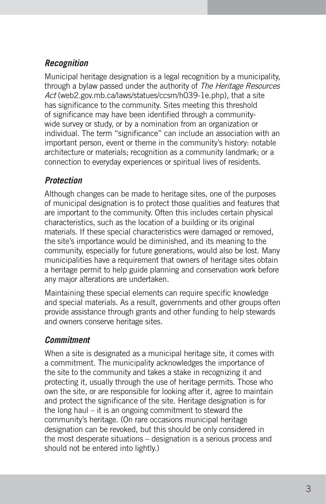# *Recognition*

Municipal heritage designation is a legal recognition by a municipality, through a bylaw passed under the authority of The Heritage Resources Act (web2.gov.mb.ca/laws/statues/ccsm/h039-1e.php), that a site has significance to the community. Sites meeting this threshold of significance may have been identified through a communitywide survey or study, or by a nomination from an organization or individual. The term "significance" can include an association with an important person, event or theme in the community's history: notable architecture or materials; recognition as a community landmark; or a connection to everyday experiences or spiritual lives of residents.

## *Protection*

Although changes can be made to heritage sites, one of the purposes of municipal designation is to protect those qualities and features that are important to the community. Often this includes certain physical characteristics, such as the location of a building or its original materials. If these special characteristics were damaged or removed, the site's importance would be diminished, and its meaning to the community, especially for future generations, would also be lost. Many municipalities have a requirement that owners of heritage sites obtain a heritage permit to help guide planning and conservation work before any major alterations are undertaken.

Maintaining these special elements can require specific knowledge and special materials. As a result, governments and other groups often provide assistance through grants and other funding to help stewards and owners conserve heritage sites.

## *Commitment*

When a site is designated as a municipal heritage site, it comes with a commitment. The municipality acknowledges the importance of the site to the community and takes a stake in recognizing it and protecting it, usually through the use of heritage permits. Those who own the site, or are responsible for looking after it, agree to maintain and protect the significance of the site. Heritage designation is for the long haul – it is an ongoing commitment to steward the community's heritage. (On rare occasions municipal heritage designation can be revoked, but this should be only considered in the most desperate situations – designation is a serious process and should not be entered into lightly.)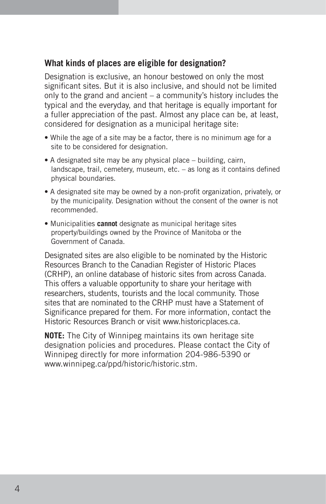#### **What kinds of places are eligible for designation?**

Designation is exclusive, an honour bestowed on only the most significant sites. But it is also inclusive, and should not be limited only to the grand and ancient – a community's history includes the typical and the everyday, and that heritage is equally important for a fuller appreciation of the past. Almost any place can be, at least, considered for designation as a municipal heritage site:

- While the age of a site may be a factor, there is no minimum age for a site to be considered for designation.
- A designated site may be any physical place building, cairn, landscape, trail, cemetery, museum, etc. – as long as it contains defined physical boundaries.
- A designated site may be owned by a non-profit organization, privately, or by the municipality. Designation without the consent of the owner is not recommended.
- Municipalities **cannot** designate as municipal heritage sites property/buildings owned by the Province of Manitoba or the Government of Canada.

Designated sites are also eligible to be nominated by the Historic Resources Branch to the Canadian Register of Historic Places (CRHP), an online database of historic sites from across Canada. This offers a valuable opportunity to share your heritage with researchers, students, tourists and the local community. Those sites that are nominated to the CRHP must have a Statement of Significance prepared for them. For more information, contact the Historic Resources Branch or visit www.historicplaces.ca.

**NOTE:** The City of Winnipeg maintains its own heritage site designation policies and procedures. Please contact the City of Winnipeg directly for more information 204-986-5390 or www.winnipeg.ca/ppd/historic/historic.stm.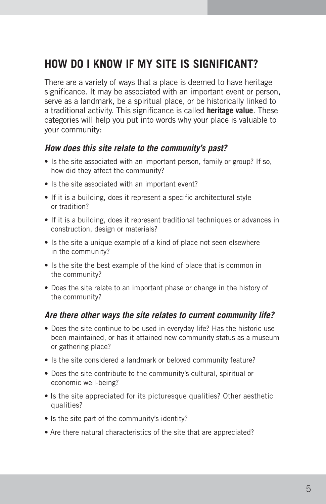# **How do I know if my site is significant?**

There are a variety of ways that a place is deemed to have heritage significance. It may be associated with an important event or person, serve as a landmark, be a spiritual place, or be historically linked to a traditional activity. This significance is called **heritage value**. These categories will help you put into words why your place is valuable to your community:

#### *How does this site relate to the community's past?*

- Is the site associated with an important person, family or group? If so, how did they affect the community?
- Is the site associated with an important event?
- If it is a building, does it represent a specific architectural style or tradition?
- If it is a building, does it represent traditional techniques or advances in construction, design or materials?
- Is the site a unique example of a kind of place not seen elsewhere in the community?
- Is the site the best example of the kind of place that is common in the community?
- Does the site relate to an important phase or change in the history of the community?

#### *Are there other ways the site relates to current community life?*

- Does the site continue to be used in everyday life? Has the historic use been maintained, or has it attained new community status as a museum or gathering place?
- Is the site considered a landmark or beloved community feature?
- Does the site contribute to the community's cultural, spiritual or economic well-being?
- Is the site appreciated for its picturesque qualities? Other aesthetic qualities?
- Is the site part of the community's identity?
- Are there natural characteristics of the site that are appreciated?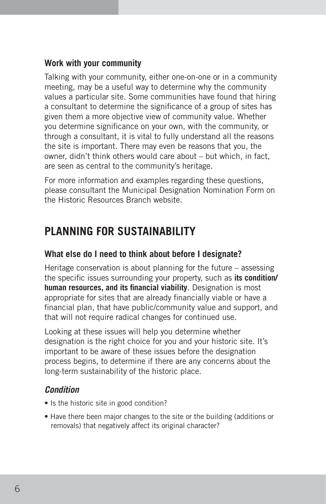## **Work with your community**

Talking with your community, either one-on-one or in a community meeting, may be a useful way to determine why the community values a particular site. Some communities have found that hiring a consultant to determine the significance of a group of sites has given them a more objective view of community value. Whether you determine significance on your own, with the community, or through a consultant, it is vital to fully understand all the reasons the site is important. There may even be reasons that you, the owner, didn't think others would care about – but which, in fact, are seen as central to the community's heritage.

For more information and examples regarding these questions, please consultant the Municipal Designation Nomination Form on the Historic Resources Branch website.

# **PLANNING FOR SUSTAINABILITY**

## **What else do I need to think about before I designate?**

Heritage conservation is about planning for the future – assessing the specific issues surrounding your property, such as **its condition/ human resources, and its financial viability**. Designation is most appropriate for sites that are already financially viable or have a financial plan, that have public/community value and support, and that will not require radical changes for continued use.

Looking at these issues will help you determine whether designation is the right choice for you and your historic site. It's important to be aware of these issues before the designation process begins, to determine if there are any concerns about the long-term sustainability of the historic place.

## *Condition*

- Is the historic site in good condition?
- Have there been major changes to the site or the building (additions or removals) that negatively affect its original character?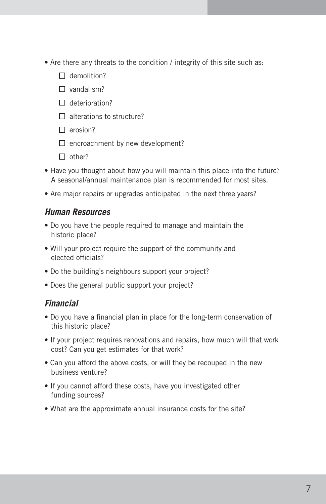- Are there any threats to the condition / integrity of this site such as:
	- $\Box$  demolition?
	- $\Box$  vandalism?
	- $\Box$  deterioration?
	- $\Box$  alterations to structure?
	- $\Box$  erosion?
	- $\Box$  encroachment by new development?
	- $\Box$  other?
- Have you thought about how you will maintain this place into the future? A seasonal/annual maintenance plan is recommended for most sites.
- Are major repairs or upgrades anticipated in the next three years?

#### *Human Resources*

- Do you have the people required to manage and maintain the historic place?
- Will your project require the support of the community and elected officials?
- Do the building's neighbours support your project?
- Does the general public support your project?

#### *Financial*

- Do you have a financial plan in place for the long-term conservation of this historic place?
- If your project requires renovations and repairs, how much will that work cost? Can you get estimates for that work?
- Can you afford the above costs, or will they be recouped in the new business venture?
- If you cannot afford these costs, have you investigated other funding sources?
- What are the approximate annual insurance costs for the site?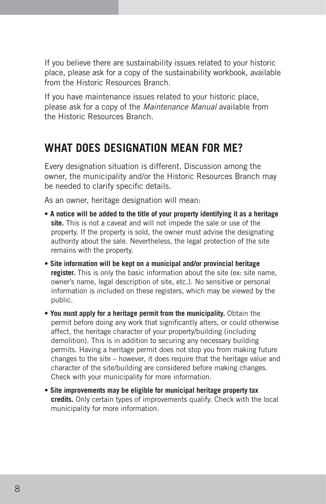If you believe there are sustainability issues related to your historic place, please ask for a copy of the sustainability workbook, available from the Historic Resources Branch.

If you have maintenance issues related to your historic place, please ask for a copy of the Maintenance Manual available from the Historic Resources Branch.

# **What does designation mean for me?**

Every designation situation is different. Discussion among the owner, the municipality and/or the Historic Resources Branch may be needed to clarify specific details.

As an owner, heritage designation will mean:

- **A notice will be added to the title of your property identifying it as a heritage site.** This is not a caveat and will not impede the sale or use of the property. If the property is sold, the owner must advise the designating authority about the sale. Nevertheless, the legal protection of the site remains with the property.
- **Site information will be kept on a municipal and/or provincial heritage register.** This is only the basic information about the site (ex: site name, owner's name, legal description of site, etc.). No sensitive or personal information is included on these registers, which may be viewed by the public.
- **You must apply for a heritage permit from the municipality.** Obtain the permit before doing any work that significantly alters, or could otherwise affect, the heritage character of your property/building (including demolition). This is in addition to securing any necessary building permits. Having a heritage permit does not stop you from making future changes to the site – however, it does require that the heritage value and character of the site/building are considered before making changes. Check with your municipality for more information.
- **Site improvements may be eligible for municipal heritage property tax credits.** Only certain types of improvements qualify. Check with the local municipality for more information.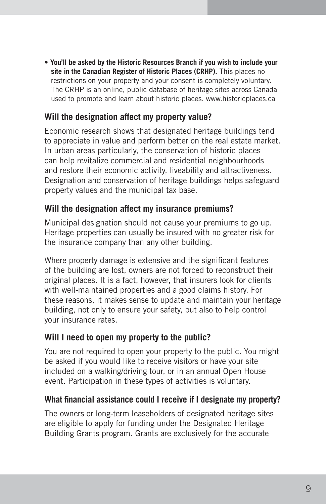• **You'll be asked by the Historic Resources Branch if you wish to include your site in the Canadian Register of Historic Places (CRHP).** This places no restrictions on your property and your consent is completely voluntary. The CRHP is an online, public database of heritage sites across Canada used to promote and learn about historic places. www.historicplaces.ca

## **Will the designation affect my property value?**

Economic research shows that designated heritage buildings tend to appreciate in value and perform better on the real estate market. In urban areas particularly, the conservation of historic places can help revitalize commercial and residential neighbourhoods and restore their economic activity, liveability and attractiveness. Designation and conservation of heritage buildings helps safeguard property values and the municipal tax base.

#### **Will the designation affect my insurance premiums?**

Municipal designation should not cause your premiums to go up. Heritage properties can usually be insured with no greater risk for the insurance company than any other building.

Where property damage is extensive and the significant features of the building are lost, owners are not forced to reconstruct their original places. It is a fact, however, that insurers look for clients with well-maintained properties and a good claims history. For these reasons, it makes sense to update and maintain your heritage building, not only to ensure your safety, but also to help control your insurance rates.

## **Will I need to open my property to the public?**

You are not required to open your property to the public. You might be asked if you would like to receive visitors or have your site included on a walking/driving tour, or in an annual Open House event. Participation in these types of activities is voluntary.

#### **What financial assistance could I receive if I designate my property?**

The owners or long-term leaseholders of designated heritage sites are eligible to apply for funding under the Designated Heritage Building Grants program. Grants are exclusively for the accurate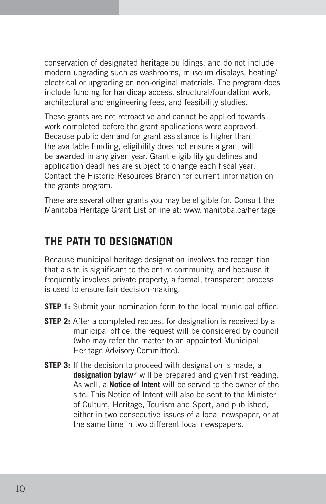conservation of designated heritage buildings, and do not include modern upgrading such as washrooms, museum displays, heating/ electrical or upgrading on non-original materials. The program does include funding for handicap access, structural/foundation work, architectural and engineering fees, and feasibility studies.

These grants are not retroactive and cannot be applied towards work completed before the grant applications were approved. Because public demand for grant assistance is higher than the available funding, eligibility does not ensure a grant will be awarded in any given year. Grant eligibility guidelines and application deadlines are subject to change each fiscal year. Contact the Historic Resources Branch for current information on the grants program.

There are several other grants you may be eligible for. Consult the Manitoba Heritage Grant List online at: www.manitoba.ca/heritage

# **The path to designation**

Because municipal heritage designation involves the recognition that a site is significant to the entire community, and because it frequently involves private property, a formal, transparent process is used to ensure fair decision-making.

- **STEP 1:** Submit your nomination form to the local municipal office.
- **STEP 2:** After a completed request for designation is received by a municipal office, the request will be considered by council (who may refer the matter to an appointed Municipal Heritage Advisory Committee).
- **STEP 3:** If the decision to proceed with designation is made, a **designation bylaw\*** will be prepared and given first reading. As well, a **Notice of Intent** will be served to the owner of the site. This Notice of Intent will also be sent to the Minister of Culture, Heritage, Tourism and Sport, and published, either in two consecutive issues of a local newspaper, or at the same time in two different local newspapers.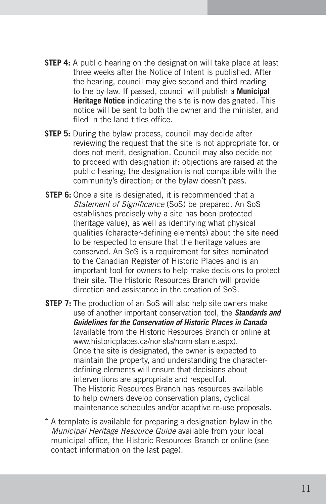- **STEP 4:** A public hearing on the designation will take place at least three weeks after the Notice of Intent is published. After the hearing, council may give second and third reading to the by-law. If passed, council will publish a **Municipal Heritage Notice** indicating the site is now designated. This notice will be sent to both the owner and the minister, and filed in the land titles office.
- **STEP 5:** During the bylaw process, council may decide after reviewing the request that the site is not appropriate for, or does not merit, designation. Council may also decide not to proceed with designation if: objections are raised at the public hearing; the designation is not compatible with the community's direction; or the bylaw doesn't pass.
- **STEP 6:** Once a site is designated, it is recommended that a Statement of Significance (SoS) be prepared. An SoS establishes precisely why a site has been protected (heritage value), as well as identifying what physical qualities (character-defining elements) about the site need to be respected to ensure that the heritage values are conserved. An SoS is a requirement for sites nominated to the Canadian Register of Historic Places and is an important tool for owners to help make decisions to protect their site. The Historic Resources Branch will provide direction and assistance in the creation of SoS.
- **STEP 7:** The production of an SoS will also help site owners make use of another important conservation tool, the *Standards and Guidelines for the Conservation of Historic Places in Canada*  (available from the Historic Resources Branch or online at www.historicplaces.ca/nor-sta/norm-stan e.aspx). Once the site is designated, the owner is expected to maintain the property, and understanding the characterdefining elements will ensure that decisions about interventions are appropriate and respectful. The Historic Resources Branch has resources available to help owners develop conservation plans, cyclical maintenance schedules and/or adaptive re-use proposals.
- \* A template is available for preparing a designation bylaw in the Municipal Heritage Resource Guide available from your local municipal office, the Historic Resources Branch or online (see contact information on the last page).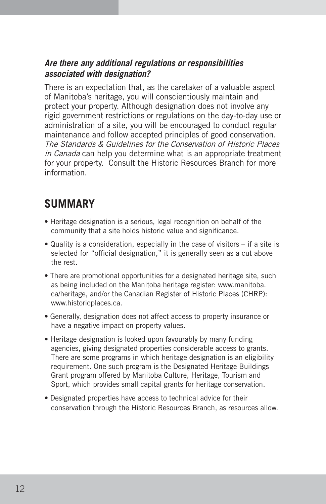## *Are there any additional regulations or responsibilities associated with designation?*

There is an expectation that, as the caretaker of a valuable aspect of Manitoba's heritage, you will conscientiously maintain and protect your property. Although designation does not involve any rigid government restrictions or regulations on the day-to-day use or administration of a site, you will be encouraged to conduct regular maintenance and follow accepted principles of good conservation. The Standards & Guidelines for the Conservation of Historic Places in Canada can help you determine what is an appropriate treatment for your property. Consult the Historic Resources Branch for more information.

# **SUMMARY**

- Heritage designation is a serious, legal recognition on behalf of the community that a site holds historic value and significance.
- Quality is a consideration, especially in the case of visitors if a site is selected for "official designation," it is generally seen as a cut above the rest.
- There are promotional opportunities for a designated heritage site, such as being included on the Manitoba heritage register: www.manitoba. ca/heritage, and/or the Canadian Register of Historic Places (CHRP): www.historicplaces.ca.
- Generally, designation does not affect access to property insurance or have a negative impact on property values.
- Heritage designation is looked upon favourably by many funding agencies, giving designated properties considerable access to grants. There are some programs in which heritage designation is an eligibility requirement. One such program is the Designated Heritage Buildings Grant program offered by Manitoba Culture, Heritage, Tourism and Sport, which provides small capital grants for heritage conservation.
- Designated properties have access to technical advice for their conservation through the Historic Resources Branch, as resources allow.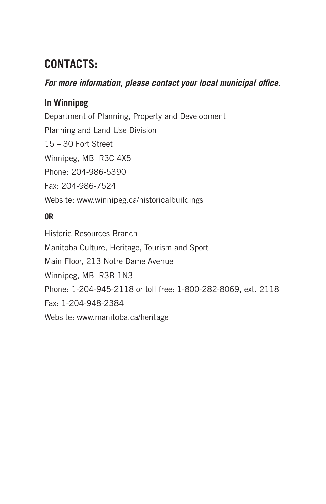# **CONTACTS:**

## *For more information, please contact your local municipal office.*

## **In Winnipeg**

Department of Planning, Property and Development Planning and Land Use Division 15 – 30 Fort Street Winnipeg, MB R3C 4X5 Phone: 204-986-5390 Fax: 204-986-7524 Website: www.winnipeg.ca/historicalbuildings

## **OR**

Historic Resources Branch Manitoba Culture, Heritage, Tourism and Sport Main Floor, 213 Notre Dame Avenue Winnipeg, MB R3B 1N3 Phone: 1-204-945-2118 or toll free: 1-800-282-8069, ext. 2118 Fax: 1-204-948-2384 Website: www.manitoba.ca/heritage